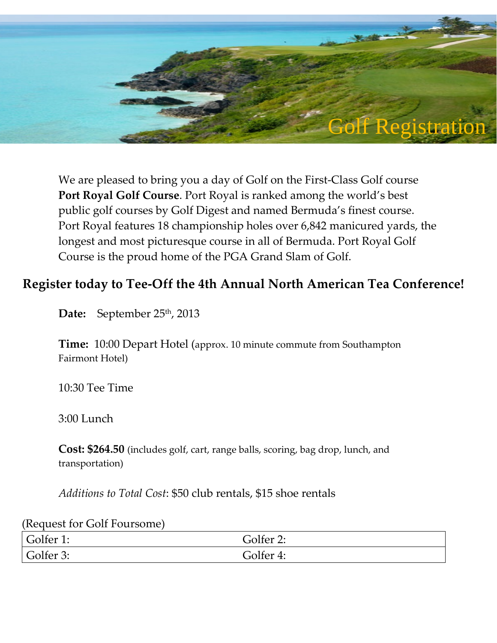

We are pleased to bring you a day of Golf on the First-Class Golf course **Port Royal Golf Course**. Port Royal is ranked among the world's best public golf courses by Golf Digest and named Bermuda's finest course. Port Royal features 18 championship holes over 6,842 manicured yards, the longest and most picturesque course in all of Bermuda. Port Royal Golf Course is the proud home of the PGA Grand Slam of Golf.

## **Register today to Tee-Off the 4th Annual North American Tea Conference!**

Date: September 25<sup>th</sup>, 2013

**Time:** 10:00 Depart Hotel (approx. 10 minute commute from Southampton Fairmont Hotel)

10:30 Tee Time

3:00 Lunch

**Cost: \$264.50** (includes golf, cart, range balls, scoring, bag drop, lunch, and transportation)

*Additions to Total Cost*: \$50 club rentals, \$15 shoe rentals

| (Request for Golf Foursome) |           |  |
|-----------------------------|-----------|--|
| Golfer 1:                   | Golfer 2: |  |
| Golfer 3:                   | Golfer 4: |  |